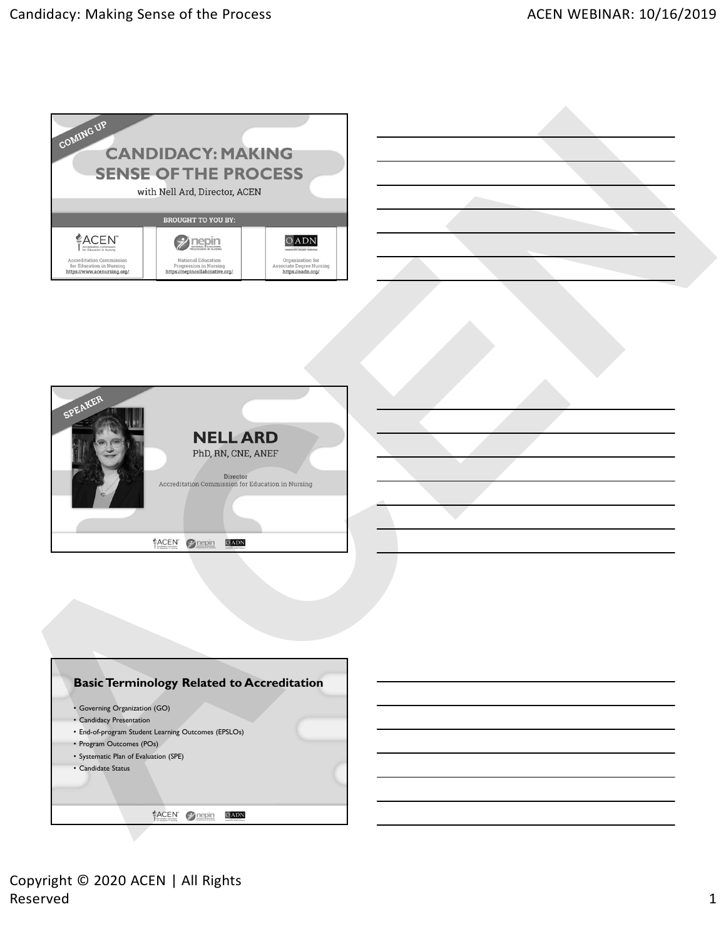



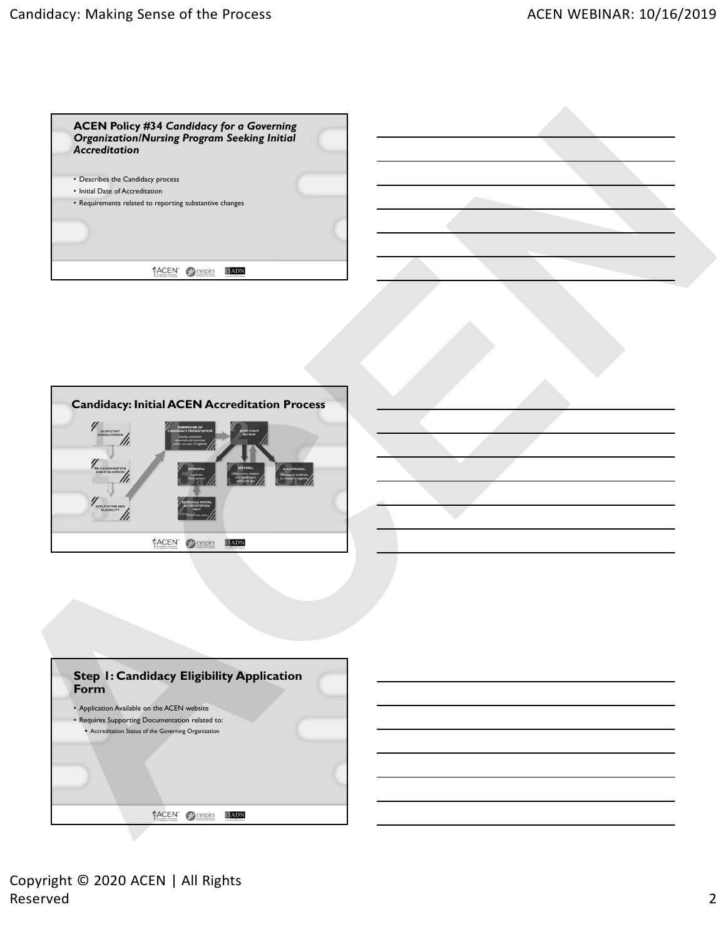



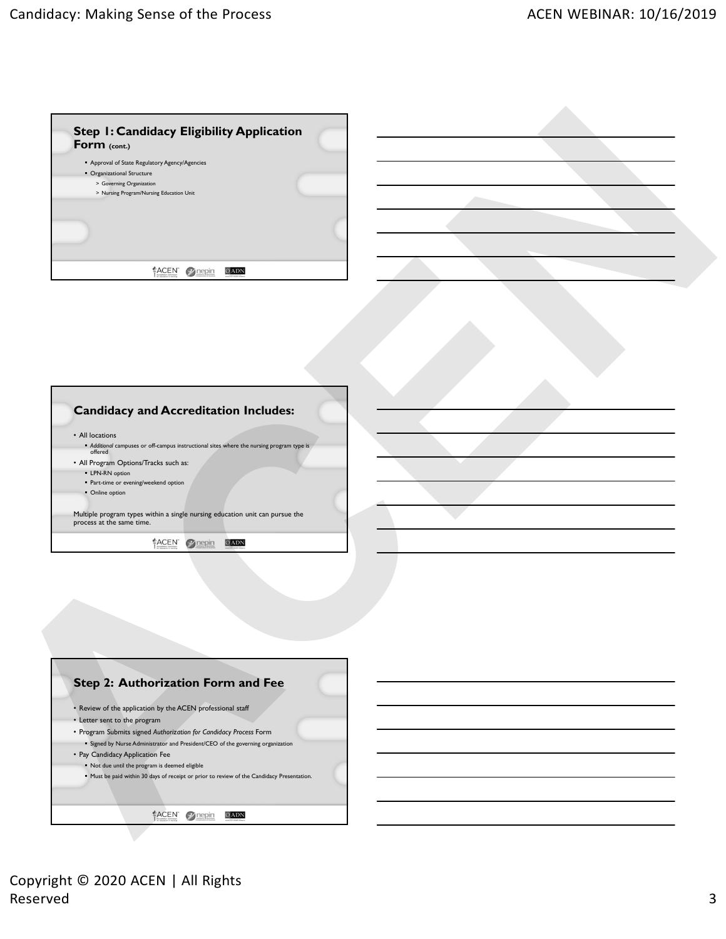

- All Program Options/Tracks such as:
	- **E-LPN-RN** option Part-time or evening/weekend option
	- Online option

Multiple program types within a single nursing education unit can pursue the process at the same time.



- Review of the application by the ACEN professional staff
- Letter sent to the program
- Program Submits signed *Authorization for Candidacy Process* Form Signed by Nurse Administrator and President/CEO of the governing organization
- Pay Candidacy Application Fee
- Not due until the program is deemed eligible
- **Must be paid within 30 days of receipt or prior to review of the Candidacy Presentation.**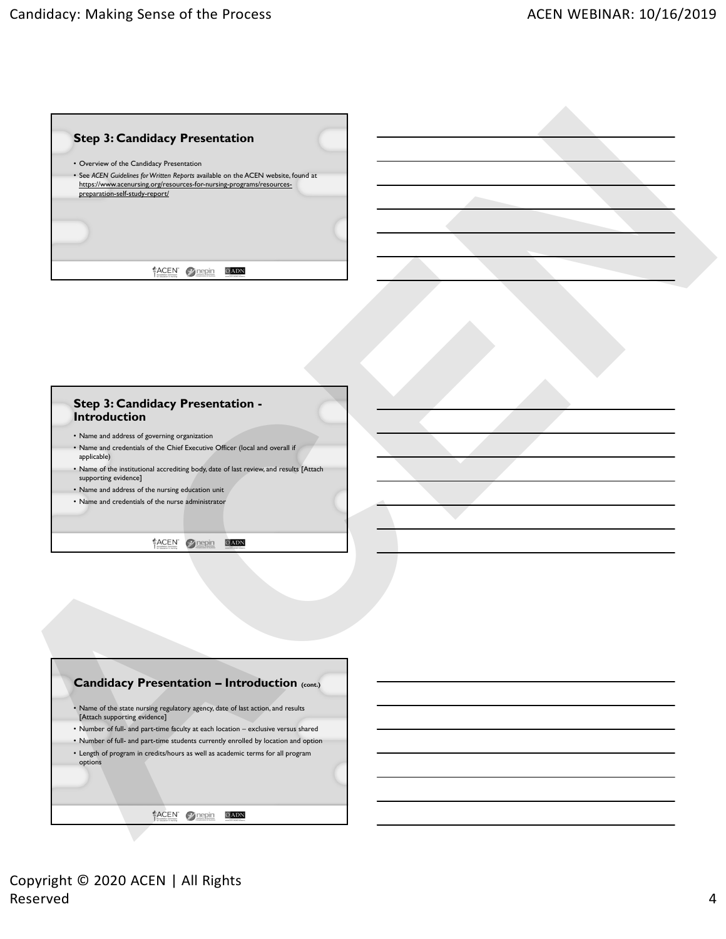

| <b>Step 3: Candidacy Presentation -</b><br><b>Introduction</b>                                                 |
|----------------------------------------------------------------------------------------------------------------|
| • Name and address of governing organization                                                                   |
| • Name and credentials of the Chief Executive Officer (local and overall if<br>applicable)                     |
| • Name of the institutional accrediting body, date of last review, and results [Attach<br>supporting evidence] |
| • Name and address of the nursing education unit                                                               |
| • Name and credentials of the nurse administrator                                                              |
| ≝ACEN                                                                                                          |

|         | . Name of the state nursing regulatory agency, date of last action, and results    |
|---------|------------------------------------------------------------------------------------|
|         | [Attach supporting evidence]                                                       |
|         | • Number of full- and part-time faculty at each location - exclusive versus shared |
|         | • Number of full- and part-time students currently enrolled by location and option |
|         | • Length of program in credits/hours as well as academic terms for all program     |
|         |                                                                                    |
| options |                                                                                    |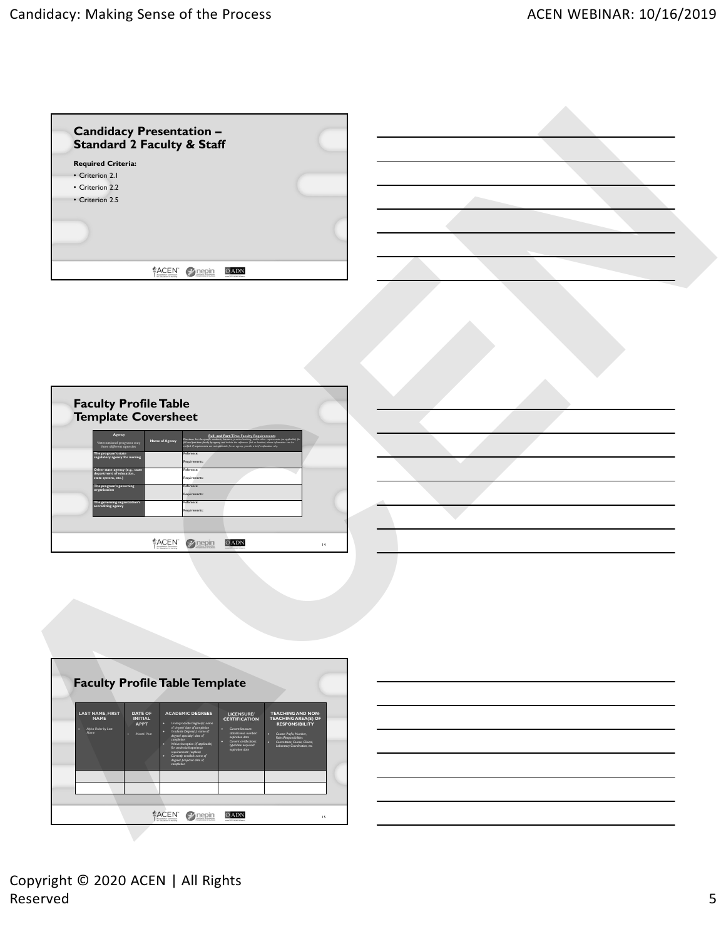| <b>Required Criteria:</b><br>• Criterion 2.1<br>• Criterion 2.2<br>• Criterion 2.5<br>ACEN 2 nepin<br>OADN<br><b>Faculty Profile Table<br/>Template Coversheet</b><br>Full- and Part-Time Faculty Re<br>Name of Agency<br>nternational progra<br>have different ager<br>.<br>he program's state<br>egulatory agency for nursin<br>aguirem<br>ference:<br>her state agency (e.g., stat<br>vartment of education,<br>. etc.<br>tequirements:<br>Reference:<br>The program's gov<br>erning<br>tequirements:<br>Reference:<br>The governing organized accrediting agency<br>Requirements:<br>ACEN 2 nepin<br>OADN<br>$\mathbf{H}$<br><b>Faculty Profile Table Template</b><br><b>ACADEMIC DEGREES</b><br>LAST NAME, FIRST<br>NAME<br>DATE OF<br>INITIAL<br><b>TEACHING AND NON-<br/>TEACHING AREA(S) OF<br/>RESPONSIBILITY</b><br>LICENSURE/<br>CERTIFICATION<br><b>APPT</b><br>Undergraduate Degree(s): name<br>of degree/ date of completion<br>Graduate Degree(s): name of<br>degree/ specialty/ date of<br>Alpha Order by Last<br>Name<br>Current licensure:<br>statellicense numb<br>expiration date<br>Current certification<br>type/date acquired<br>expiration date<br>Month/ Year<br>Course: Prefix, Number,<br>Rales/Responsibilities<br>Committees; Course, Clinical,<br>Laboratory Coordination, etc.<br>iallexperience<br>its: (explain)<br>nrolled: name of<br>vjected date of<br>ACEN 2 nepin<br>OADN<br>$\mathsf{I}5$ | Candidacy Presentation -<br>Standard 2 Faculty & Staff |  |  |
|-----------------------------------------------------------------------------------------------------------------------------------------------------------------------------------------------------------------------------------------------------------------------------------------------------------------------------------------------------------------------------------------------------------------------------------------------------------------------------------------------------------------------------------------------------------------------------------------------------------------------------------------------------------------------------------------------------------------------------------------------------------------------------------------------------------------------------------------------------------------------------------------------------------------------------------------------------------------------------------------------------------------------------------------------------------------------------------------------------------------------------------------------------------------------------------------------------------------------------------------------------------------------------------------------------------------------------------------------------------------------------------------------------------------------------------|--------------------------------------------------------|--|--|
|                                                                                                                                                                                                                                                                                                                                                                                                                                                                                                                                                                                                                                                                                                                                                                                                                                                                                                                                                                                                                                                                                                                                                                                                                                                                                                                                                                                                                                   |                                                        |  |  |
|                                                                                                                                                                                                                                                                                                                                                                                                                                                                                                                                                                                                                                                                                                                                                                                                                                                                                                                                                                                                                                                                                                                                                                                                                                                                                                                                                                                                                                   |                                                        |  |  |
|                                                                                                                                                                                                                                                                                                                                                                                                                                                                                                                                                                                                                                                                                                                                                                                                                                                                                                                                                                                                                                                                                                                                                                                                                                                                                                                                                                                                                                   |                                                        |  |  |
|                                                                                                                                                                                                                                                                                                                                                                                                                                                                                                                                                                                                                                                                                                                                                                                                                                                                                                                                                                                                                                                                                                                                                                                                                                                                                                                                                                                                                                   |                                                        |  |  |
|                                                                                                                                                                                                                                                                                                                                                                                                                                                                                                                                                                                                                                                                                                                                                                                                                                                                                                                                                                                                                                                                                                                                                                                                                                                                                                                                                                                                                                   |                                                        |  |  |
|                                                                                                                                                                                                                                                                                                                                                                                                                                                                                                                                                                                                                                                                                                                                                                                                                                                                                                                                                                                                                                                                                                                                                                                                                                                                                                                                                                                                                                   |                                                        |  |  |
|                                                                                                                                                                                                                                                                                                                                                                                                                                                                                                                                                                                                                                                                                                                                                                                                                                                                                                                                                                                                                                                                                                                                                                                                                                                                                                                                                                                                                                   |                                                        |  |  |
|                                                                                                                                                                                                                                                                                                                                                                                                                                                                                                                                                                                                                                                                                                                                                                                                                                                                                                                                                                                                                                                                                                                                                                                                                                                                                                                                                                                                                                   |                                                        |  |  |
|                                                                                                                                                                                                                                                                                                                                                                                                                                                                                                                                                                                                                                                                                                                                                                                                                                                                                                                                                                                                                                                                                                                                                                                                                                                                                                                                                                                                                                   |                                                        |  |  |
|                                                                                                                                                                                                                                                                                                                                                                                                                                                                                                                                                                                                                                                                                                                                                                                                                                                                                                                                                                                                                                                                                                                                                                                                                                                                                                                                                                                                                                   |                                                        |  |  |
|                                                                                                                                                                                                                                                                                                                                                                                                                                                                                                                                                                                                                                                                                                                                                                                                                                                                                                                                                                                                                                                                                                                                                                                                                                                                                                                                                                                                                                   |                                                        |  |  |
|                                                                                                                                                                                                                                                                                                                                                                                                                                                                                                                                                                                                                                                                                                                                                                                                                                                                                                                                                                                                                                                                                                                                                                                                                                                                                                                                                                                                                                   |                                                        |  |  |
|                                                                                                                                                                                                                                                                                                                                                                                                                                                                                                                                                                                                                                                                                                                                                                                                                                                                                                                                                                                                                                                                                                                                                                                                                                                                                                                                                                                                                                   |                                                        |  |  |
|                                                                                                                                                                                                                                                                                                                                                                                                                                                                                                                                                                                                                                                                                                                                                                                                                                                                                                                                                                                                                                                                                                                                                                                                                                                                                                                                                                                                                                   |                                                        |  |  |
|                                                                                                                                                                                                                                                                                                                                                                                                                                                                                                                                                                                                                                                                                                                                                                                                                                                                                                                                                                                                                                                                                                                                                                                                                                                                                                                                                                                                                                   |                                                        |  |  |
|                                                                                                                                                                                                                                                                                                                                                                                                                                                                                                                                                                                                                                                                                                                                                                                                                                                                                                                                                                                                                                                                                                                                                                                                                                                                                                                                                                                                                                   |                                                        |  |  |
|                                                                                                                                                                                                                                                                                                                                                                                                                                                                                                                                                                                                                                                                                                                                                                                                                                                                                                                                                                                                                                                                                                                                                                                                                                                                                                                                                                                                                                   |                                                        |  |  |
|                                                                                                                                                                                                                                                                                                                                                                                                                                                                                                                                                                                                                                                                                                                                                                                                                                                                                                                                                                                                                                                                                                                                                                                                                                                                                                                                                                                                                                   |                                                        |  |  |
|                                                                                                                                                                                                                                                                                                                                                                                                                                                                                                                                                                                                                                                                                                                                                                                                                                                                                                                                                                                                                                                                                                                                                                                                                                                                                                                                                                                                                                   |                                                        |  |  |
|                                                                                                                                                                                                                                                                                                                                                                                                                                                                                                                                                                                                                                                                                                                                                                                                                                                                                                                                                                                                                                                                                                                                                                                                                                                                                                                                                                                                                                   |                                                        |  |  |
|                                                                                                                                                                                                                                                                                                                                                                                                                                                                                                                                                                                                                                                                                                                                                                                                                                                                                                                                                                                                                                                                                                                                                                                                                                                                                                                                                                                                                                   |                                                        |  |  |
|                                                                                                                                                                                                                                                                                                                                                                                                                                                                                                                                                                                                                                                                                                                                                                                                                                                                                                                                                                                                                                                                                                                                                                                                                                                                                                                                                                                                                                   |                                                        |  |  |
|                                                                                                                                                                                                                                                                                                                                                                                                                                                                                                                                                                                                                                                                                                                                                                                                                                                                                                                                                                                                                                                                                                                                                                                                                                                                                                                                                                                                                                   |                                                        |  |  |
|                                                                                                                                                                                                                                                                                                                                                                                                                                                                                                                                                                                                                                                                                                                                                                                                                                                                                                                                                                                                                                                                                                                                                                                                                                                                                                                                                                                                                                   |                                                        |  |  |
|                                                                                                                                                                                                                                                                                                                                                                                                                                                                                                                                                                                                                                                                                                                                                                                                                                                                                                                                                                                                                                                                                                                                                                                                                                                                                                                                                                                                                                   |                                                        |  |  |
|                                                                                                                                                                                                                                                                                                                                                                                                                                                                                                                                                                                                                                                                                                                                                                                                                                                                                                                                                                                                                                                                                                                                                                                                                                                                                                                                                                                                                                   |                                                        |  |  |
|                                                                                                                                                                                                                                                                                                                                                                                                                                                                                                                                                                                                                                                                                                                                                                                                                                                                                                                                                                                                                                                                                                                                                                                                                                                                                                                                                                                                                                   |                                                        |  |  |
|                                                                                                                                                                                                                                                                                                                                                                                                                                                                                                                                                                                                                                                                                                                                                                                                                                                                                                                                                                                                                                                                                                                                                                                                                                                                                                                                                                                                                                   |                                                        |  |  |
|                                                                                                                                                                                                                                                                                                                                                                                                                                                                                                                                                                                                                                                                                                                                                                                                                                                                                                                                                                                                                                                                                                                                                                                                                                                                                                                                                                                                                                   |                                                        |  |  |
|                                                                                                                                                                                                                                                                                                                                                                                                                                                                                                                                                                                                                                                                                                                                                                                                                                                                                                                                                                                                                                                                                                                                                                                                                                                                                                                                                                                                                                   |                                                        |  |  |
|                                                                                                                                                                                                                                                                                                                                                                                                                                                                                                                                                                                                                                                                                                                                                                                                                                                                                                                                                                                                                                                                                                                                                                                                                                                                                                                                                                                                                                   |                                                        |  |  |
|                                                                                                                                                                                                                                                                                                                                                                                                                                                                                                                                                                                                                                                                                                                                                                                                                                                                                                                                                                                                                                                                                                                                                                                                                                                                                                                                                                                                                                   |                                                        |  |  |
|                                                                                                                                                                                                                                                                                                                                                                                                                                                                                                                                                                                                                                                                                                                                                                                                                                                                                                                                                                                                                                                                                                                                                                                                                                                                                                                                                                                                                                   |                                                        |  |  |
|                                                                                                                                                                                                                                                                                                                                                                                                                                                                                                                                                                                                                                                                                                                                                                                                                                                                                                                                                                                                                                                                                                                                                                                                                                                                                                                                                                                                                                   |                                                        |  |  |
|                                                                                                                                                                                                                                                                                                                                                                                                                                                                                                                                                                                                                                                                                                                                                                                                                                                                                                                                                                                                                                                                                                                                                                                                                                                                                                                                                                                                                                   |                                                        |  |  |
|                                                                                                                                                                                                                                                                                                                                                                                                                                                                                                                                                                                                                                                                                                                                                                                                                                                                                                                                                                                                                                                                                                                                                                                                                                                                                                                                                                                                                                   |                                                        |  |  |
|                                                                                                                                                                                                                                                                                                                                                                                                                                                                                                                                                                                                                                                                                                                                                                                                                                                                                                                                                                                                                                                                                                                                                                                                                                                                                                                                                                                                                                   |                                                        |  |  |
|                                                                                                                                                                                                                                                                                                                                                                                                                                                                                                                                                                                                                                                                                                                                                                                                                                                                                                                                                                                                                                                                                                                                                                                                                                                                                                                                                                                                                                   |                                                        |  |  |
|                                                                                                                                                                                                                                                                                                                                                                                                                                                                                                                                                                                                                                                                                                                                                                                                                                                                                                                                                                                                                                                                                                                                                                                                                                                                                                                                                                                                                                   |                                                        |  |  |
|                                                                                                                                                                                                                                                                                                                                                                                                                                                                                                                                                                                                                                                                                                                                                                                                                                                                                                                                                                                                                                                                                                                                                                                                                                                                                                                                                                                                                                   |                                                        |  |  |
|                                                                                                                                                                                                                                                                                                                                                                                                                                                                                                                                                                                                                                                                                                                                                                                                                                                                                                                                                                                                                                                                                                                                                                                                                                                                                                                                                                                                                                   |                                                        |  |  |
|                                                                                                                                                                                                                                                                                                                                                                                                                                                                                                                                                                                                                                                                                                                                                                                                                                                                                                                                                                                                                                                                                                                                                                                                                                                                                                                                                                                                                                   |                                                        |  |  |
|                                                                                                                                                                                                                                                                                                                                                                                                                                                                                                                                                                                                                                                                                                                                                                                                                                                                                                                                                                                                                                                                                                                                                                                                                                                                                                                                                                                                                                   |                                                        |  |  |
|                                                                                                                                                                                                                                                                                                                                                                                                                                                                                                                                                                                                                                                                                                                                                                                                                                                                                                                                                                                                                                                                                                                                                                                                                                                                                                                                                                                                                                   |                                                        |  |  |
|                                                                                                                                                                                                                                                                                                                                                                                                                                                                                                                                                                                                                                                                                                                                                                                                                                                                                                                                                                                                                                                                                                                                                                                                                                                                                                                                                                                                                                   |                                                        |  |  |
|                                                                                                                                                                                                                                                                                                                                                                                                                                                                                                                                                                                                                                                                                                                                                                                                                                                                                                                                                                                                                                                                                                                                                                                                                                                                                                                                                                                                                                   |                                                        |  |  |
|                                                                                                                                                                                                                                                                                                                                                                                                                                                                                                                                                                                                                                                                                                                                                                                                                                                                                                                                                                                                                                                                                                                                                                                                                                                                                                                                                                                                                                   |                                                        |  |  |
|                                                                                                                                                                                                                                                                                                                                                                                                                                                                                                                                                                                                                                                                                                                                                                                                                                                                                                                                                                                                                                                                                                                                                                                                                                                                                                                                                                                                                                   |                                                        |  |  |
|                                                                                                                                                                                                                                                                                                                                                                                                                                                                                                                                                                                                                                                                                                                                                                                                                                                                                                                                                                                                                                                                                                                                                                                                                                                                                                                                                                                                                                   |                                                        |  |  |
|                                                                                                                                                                                                                                                                                                                                                                                                                                                                                                                                                                                                                                                                                                                                                                                                                                                                                                                                                                                                                                                                                                                                                                                                                                                                                                                                                                                                                                   |                                                        |  |  |
|                                                                                                                                                                                                                                                                                                                                                                                                                                                                                                                                                                                                                                                                                                                                                                                                                                                                                                                                                                                                                                                                                                                                                                                                                                                                                                                                                                                                                                   |                                                        |  |  |
|                                                                                                                                                                                                                                                                                                                                                                                                                                                                                                                                                                                                                                                                                                                                                                                                                                                                                                                                                                                                                                                                                                                                                                                                                                                                                                                                                                                                                                   |                                                        |  |  |

Copyright © 2020 ACEN | All Rights Reserved 5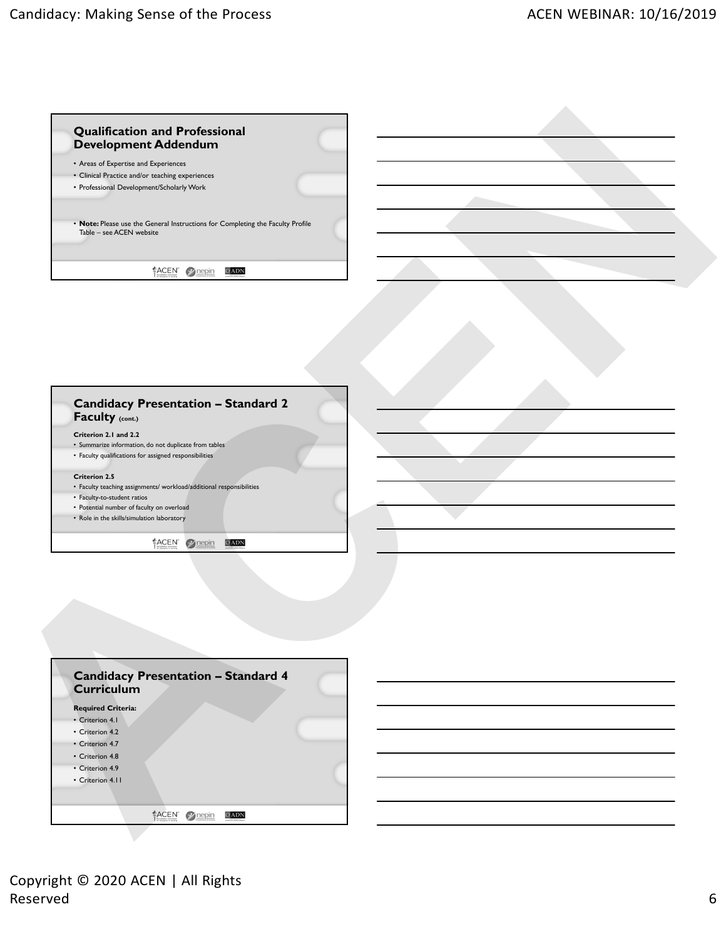| • Areas of Expertise and Experiences            |                                                                                |
|-------------------------------------------------|--------------------------------------------------------------------------------|
| • Clinical Practice and/or teaching experiences |                                                                                |
| • Professional Development/Scholarly Work       |                                                                                |
|                                                 | • Note: Please use the General Instructions for Completing the Faculty Profile |

| <b>Candidacy Presentation - Standard 2</b><br>Faculty (cont.)        |  |
|----------------------------------------------------------------------|--|
| Criterion 2.1 and 2.2                                                |  |
| • Summarize information, do not duplicate from tables                |  |
| • Faculty qualifications for assigned responsibilities               |  |
| <b>Criterion 2.5</b>                                                 |  |
| • Faculty teaching assignments/ workload/additional responsibilities |  |
| • Faculty-to-student ratios                                          |  |
| • Potential number of faculty on overload                            |  |
| • Role in the skills/simulation laboratory                           |  |

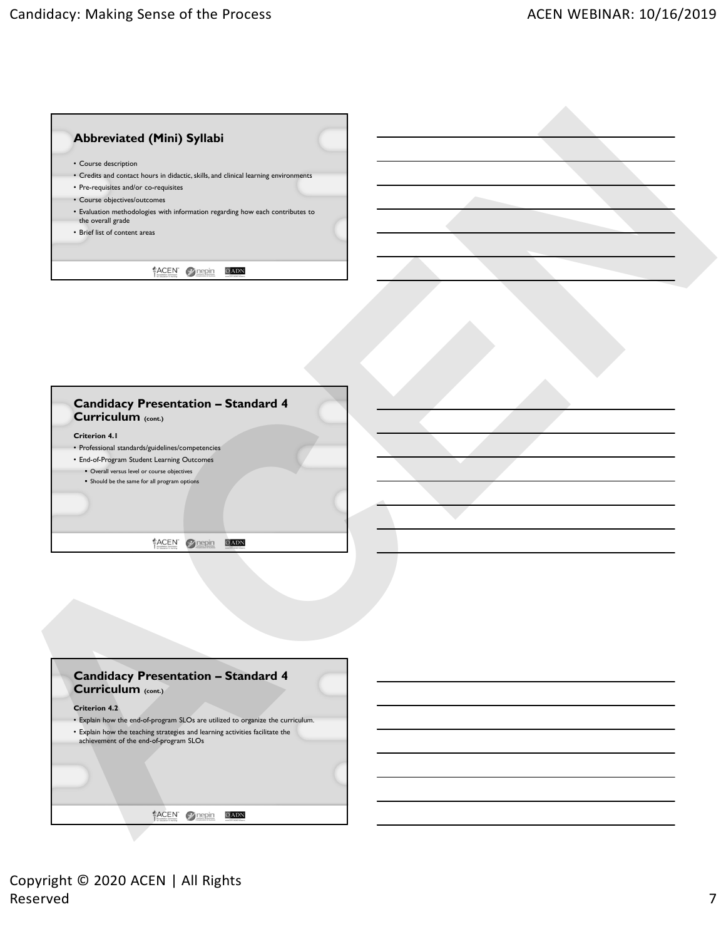

| • Professional standards/guidelines/competencies |  |  |
|--------------------------------------------------|--|--|
| • End-of-Program Student Learning Outcomes       |  |  |
| • Overall versus level or course objectives      |  |  |
| • Should be the same for all program options     |  |  |
|                                                  |  |  |
|                                                  |  |  |
|                                                  |  |  |

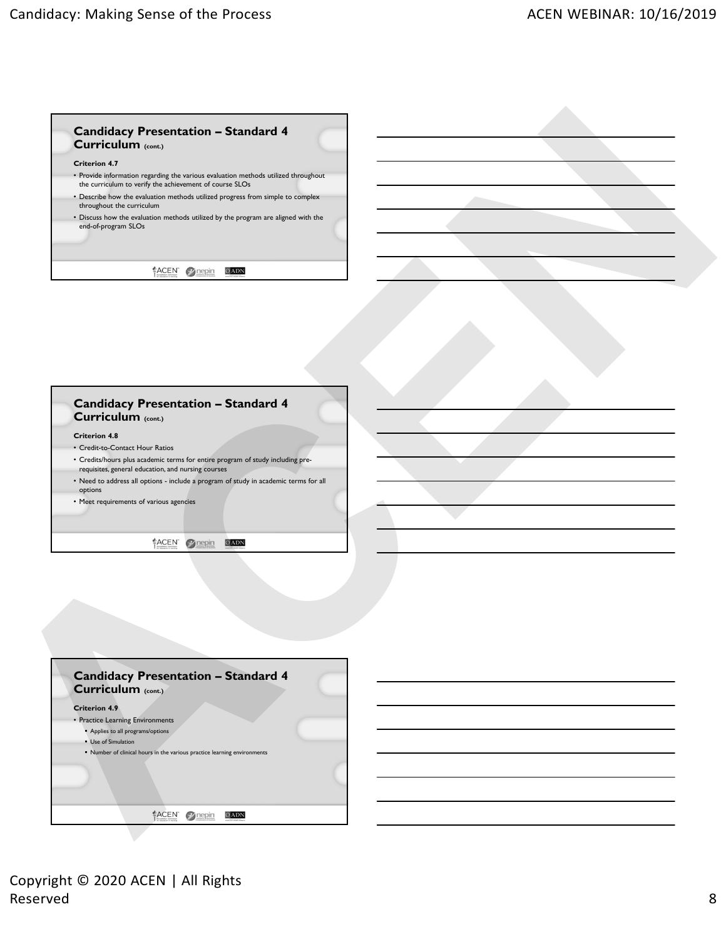## **Candidacy Presentation – Standard 4 Curriculum (cont.)**

## **Criterion 4.7**

- Provide information regarding the various evaluation methods utilized throughout the curriculum to verify the achievement of course SLOs
- Describe how the evaluation methods utilized progress from simple to complex throughout the curriculum
- Discuss how the evaluation methods utilized by the program are aligned with the end-of-program SLOs

## **Candidacy Presentation – Standard 4 Curriculum (cont.)**

- **Criterion 4.8**
- Credit-to-Contact Hour Ratios
- Credits/hours plus academic terms for entire program of study including pre-
- requisites, general education, and nursing courses
- Need to address all options include a program of study in academic terms for all options
- Meet requirements of various agencies

| <b>Candidacy Presentation - Standard 4</b><br>Curriculum (cont.)                                            |      |  |
|-------------------------------------------------------------------------------------------------------------|------|--|
| <b>Criterion 4.7</b>                                                                                        |      |  |
| • Provide information regarding the various evaluation methods utilized throughout                          |      |  |
| the curriculum to verify the achievement of course SLOs                                                     |      |  |
| . Describe how the evaluation methods utilized progress from simple to complex<br>throughout the curriculum |      |  |
| • Discuss how the evaluation methods utilized by the program are aligned with the<br>end-of-program SLOs    |      |  |
|                                                                                                             |      |  |
|                                                                                                             |      |  |
| ACEN Trepin                                                                                                 | OADN |  |
|                                                                                                             |      |  |
|                                                                                                             |      |  |
|                                                                                                             |      |  |
|                                                                                                             |      |  |
|                                                                                                             |      |  |
|                                                                                                             |      |  |
|                                                                                                             |      |  |
|                                                                                                             |      |  |
| <b>Candidacy Presentation - Standard 4</b>                                                                  |      |  |
| Curriculum (cont.)                                                                                          |      |  |
|                                                                                                             |      |  |
| <b>Criterion 4.8</b><br>• Credit-to-Contact Hour Ratios                                                     |      |  |
| • Credits/hours plus academic terms for entire program of study including pre-                              |      |  |
| requisites, general education, and nursing courses                                                          |      |  |
| . Need to address all options - include a program of study in academic terms for all<br>options             |      |  |
| • Meet requirements of various agencies                                                                     |      |  |
|                                                                                                             |      |  |
|                                                                                                             |      |  |
| ACEN <i>mepin</i>                                                                                           | OADN |  |
|                                                                                                             |      |  |
|                                                                                                             |      |  |
|                                                                                                             |      |  |
|                                                                                                             |      |  |
|                                                                                                             |      |  |
|                                                                                                             |      |  |
|                                                                                                             |      |  |
|                                                                                                             |      |  |
| <b>Candidacy Presentation - Standard 4</b>                                                                  |      |  |
|                                                                                                             |      |  |
| Curriculum (cont.)                                                                                          |      |  |
|                                                                                                             |      |  |
| <b>Criterion 4.9</b>                                                                                        |      |  |
| • Practice Learning Environments<br>Applies to all programs/options                                         |      |  |
| • Use of Simulation                                                                                         |      |  |
| " Number of clinical hours in the various practice learning environments                                    |      |  |
|                                                                                                             |      |  |
|                                                                                                             |      |  |
| ACEN Prepin                                                                                                 |      |  |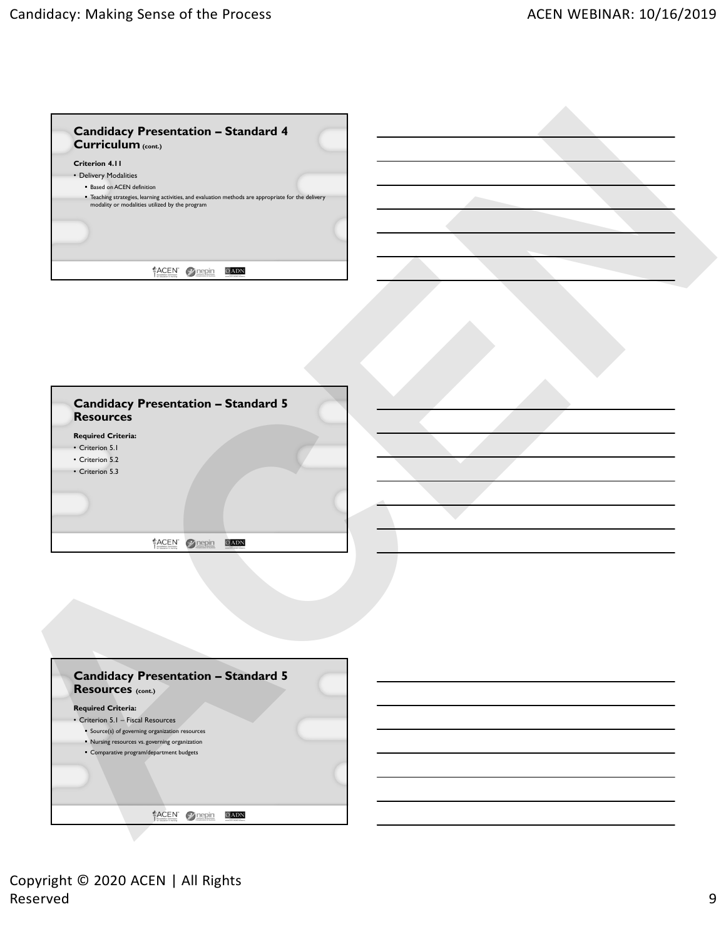| Curriculum (cont.)                                                                                                                                    |  |
|-------------------------------------------------------------------------------------------------------------------------------------------------------|--|
| Criterion 4.11                                                                                                                                        |  |
| • Delivery Modalities<br><b>Based on ACEN definition</b>                                                                                              |  |
| " Teaching strategies, learning activities, and evaluation methods are appropriate for the delivery<br>modality or modalities utilized by the program |  |
|                                                                                                                                                       |  |
|                                                                                                                                                       |  |
|                                                                                                                                                       |  |
| ACEN Trepin<br>OADN                                                                                                                                   |  |
|                                                                                                                                                       |  |
|                                                                                                                                                       |  |
|                                                                                                                                                       |  |
|                                                                                                                                                       |  |
|                                                                                                                                                       |  |
|                                                                                                                                                       |  |
|                                                                                                                                                       |  |
| <b>Candidacy Presentation - Standard 5</b>                                                                                                            |  |
| <b>Resources</b>                                                                                                                                      |  |
| <b>Required Criteria:</b>                                                                                                                             |  |
| • Criterion 5.1                                                                                                                                       |  |
| • Criterion 5.2                                                                                                                                       |  |
| • Criterion 5.3                                                                                                                                       |  |
|                                                                                                                                                       |  |
|                                                                                                                                                       |  |
|                                                                                                                                                       |  |
| ACEN Prepin<br>OADN                                                                                                                                   |  |
|                                                                                                                                                       |  |
|                                                                                                                                                       |  |
|                                                                                                                                                       |  |
|                                                                                                                                                       |  |
|                                                                                                                                                       |  |
|                                                                                                                                                       |  |
|                                                                                                                                                       |  |
|                                                                                                                                                       |  |
| <b>Candidacy Presentation - Standard 5</b>                                                                                                            |  |
| Resources (cont.)                                                                                                                                     |  |
| <b>Required Criteria:</b>                                                                                                                             |  |
| • Criterion 5.1 - Fiscal Resources<br>Source(s) of governing organization resources                                                                   |  |
| " Nursing resources vs. governing organization                                                                                                        |  |
| • Comparative program/department budgets                                                                                                              |  |
|                                                                                                                                                       |  |
|                                                                                                                                                       |  |
|                                                                                                                                                       |  |
|                                                                                                                                                       |  |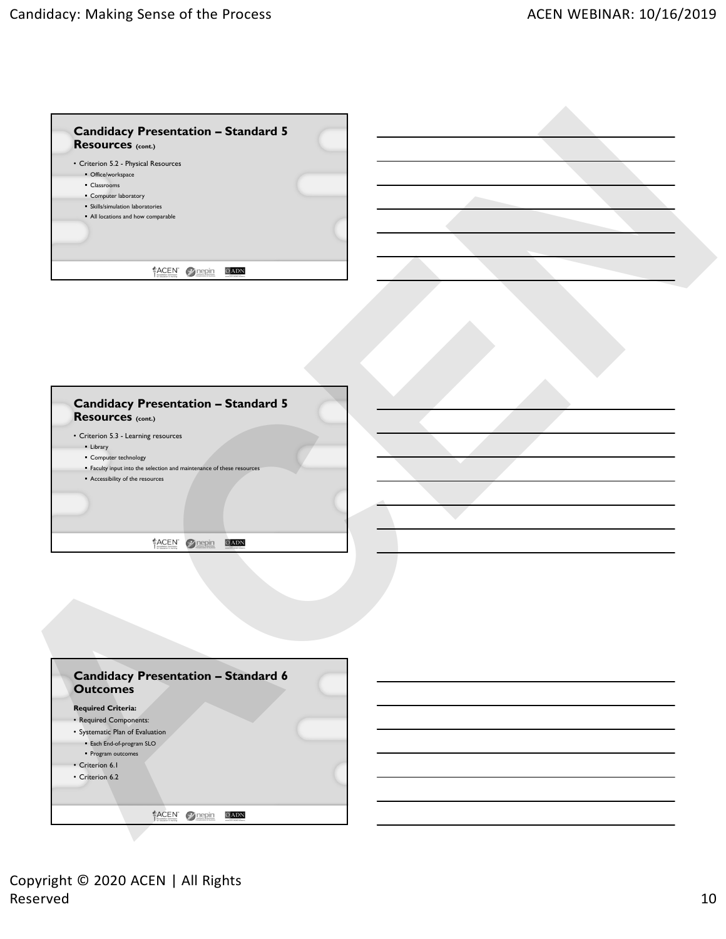| <b>Candidacy Presentation - Standard 5</b><br>Resources (cont.)       |  |
|-----------------------------------------------------------------------|--|
| • Criterion 5.2 - Physical Resources                                  |  |
| · Office/workspace                                                    |  |
| • Classrooms                                                          |  |
| • Computer laboratory                                                 |  |
| · Skills/simulation laboratories                                      |  |
| · All locations and how comparable                                    |  |
|                                                                       |  |
|                                                                       |  |
|                                                                       |  |
| ACEN Trepin<br>OADN                                                   |  |
|                                                                       |  |
|                                                                       |  |
|                                                                       |  |
|                                                                       |  |
|                                                                       |  |
|                                                                       |  |
|                                                                       |  |
|                                                                       |  |
|                                                                       |  |
|                                                                       |  |
| <b>Candidacy Presentation - Standard 5</b>                            |  |
| Resources (cont.)                                                     |  |
| • Criterion 5.3 - Learning resources                                  |  |
| • Library                                                             |  |
| • Computer technology                                                 |  |
| " Faculty input into the selection and maintenance of these resources |  |
| Accessibility of the resources                                        |  |
|                                                                       |  |
|                                                                       |  |
|                                                                       |  |
|                                                                       |  |
| ACEN Prepin<br>OADN                                                   |  |
|                                                                       |  |
|                                                                       |  |
|                                                                       |  |
|                                                                       |  |
|                                                                       |  |
|                                                                       |  |
|                                                                       |  |
|                                                                       |  |
|                                                                       |  |
|                                                                       |  |
|                                                                       |  |
| <b>Candidacy Presentation - Standard 6</b>                            |  |
| <b>Outcomes</b>                                                       |  |
| <b>Required Criteria:</b>                                             |  |
|                                                                       |  |
| • Required Components:                                                |  |
| • Systematic Plan of Evaluation                                       |  |
| · Each End-of-program SLO                                             |  |
|                                                                       |  |
| · Program outcomes                                                    |  |
| • Criterion 6.1                                                       |  |
| • Criterion 6.2                                                       |  |
|                                                                       |  |
| ACEN 2 nepin<br>OADN                                                  |  |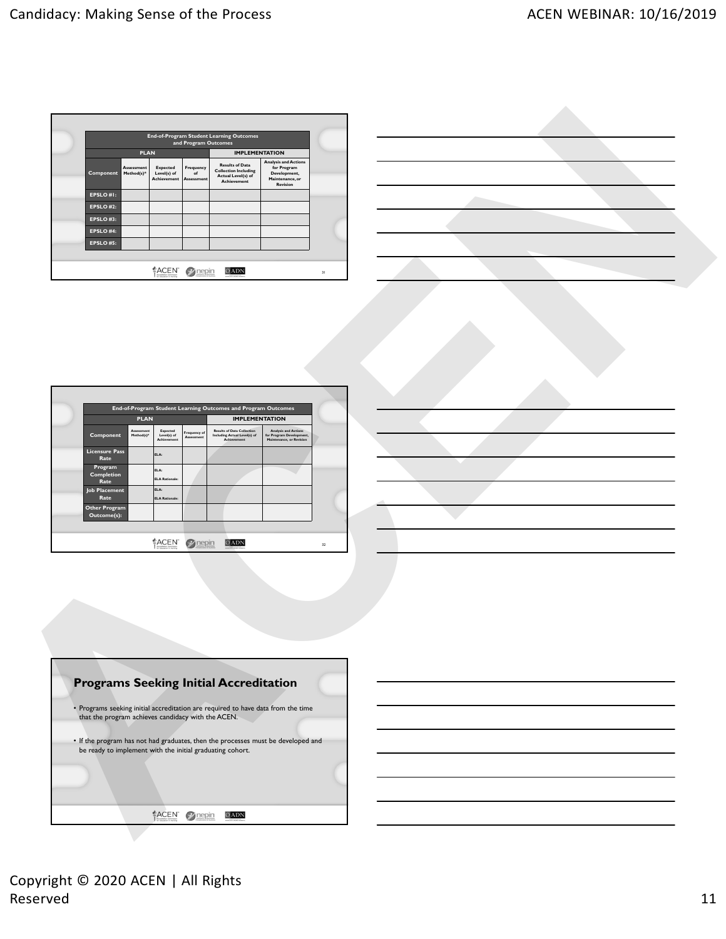|           |                                 |                                                      | and Program Outcomes                 | <b>End-of-Program Student Learning Outcomes</b>                                                   |                                                                                                  |    |
|-----------|---------------------------------|------------------------------------------------------|--------------------------------------|---------------------------------------------------------------------------------------------------|--------------------------------------------------------------------------------------------------|----|
|           | <b>PLAN</b>                     |                                                      |                                      | <b>IMPLEMENTATION</b>                                                                             |                                                                                                  |    |
| Component | <b>Assessment</b><br>Method(s)* | <b>Expected</b><br>Level(s) of<br><b>Achievement</b> | Frequency<br>of<br><b>Assessment</b> | <b>Results of Data</b><br><b>Collection Including</b><br>Actual Level(s) of<br><b>Achievement</b> | <b>Analysis and Actions</b><br>for Program<br>Development,<br>Maintenance, or<br><b>Revision</b> |    |
| EPSLO#I:  |                                 |                                                      |                                      |                                                                                                   |                                                                                                  |    |
| EPSLO#2:  |                                 |                                                      |                                      |                                                                                                   |                                                                                                  |    |
| EPSLO#3:  |                                 |                                                      |                                      |                                                                                                   |                                                                                                  |    |
| EPSLO#4:  |                                 |                                                      |                                      |                                                                                                   |                                                                                                  |    |
| EPSLO#5:  |                                 |                                                      |                                      |                                                                                                   |                                                                                                  |    |
|           |                                 |                                                      |                                      |                                                                                                   |                                                                                                  |    |
|           |                                 | <b>ACEN</b><br>by Education in Nursing               |                                      | <b>SHIRAIN HUMAN SLEEPS</b>                                                                       |                                                                                                  | 31 |

| End-of-Program Student Learning Outcomes and Program Outcomes |                          |                                               |                            |                       |                                                                                         |                                                                                     |
|---------------------------------------------------------------|--------------------------|-----------------------------------------------|----------------------------|-----------------------|-----------------------------------------------------------------------------------------|-------------------------------------------------------------------------------------|
| <b>PLAN</b>                                                   |                          |                                               |                            | <b>IMPLEMENTATION</b> |                                                                                         |                                                                                     |
| Component                                                     | Assessment<br>Method(s)* | Expected<br>Level(s) of<br><b>Achievement</b> | Frequency of<br>Assessment |                       | <b>Results of Data Collection</b><br>Including Actual Level(s) of<br><b>Achievement</b> | <b>Analysis and Actions</b><br>for Program Development,<br>Maintenance, or Revision |
| <b>Licensure Pass</b><br>Rate                                 |                          | ELA:                                          |                            |                       |                                                                                         |                                                                                     |
| Program<br>Completion<br>Rate                                 |                          | ELA:<br><b>ELA Rationale:</b>                 |                            |                       |                                                                                         |                                                                                     |
| <b>Job Placement</b><br>Rate                                  |                          | ELA:<br>FI A Rationale                        |                            |                       |                                                                                         |                                                                                     |
| Other Program<br>Outcome(s):                                  |                          |                                               |                            |                       |                                                                                         |                                                                                     |
|                                                               |                          |                                               |                            |                       |                                                                                         |                                                                                     |

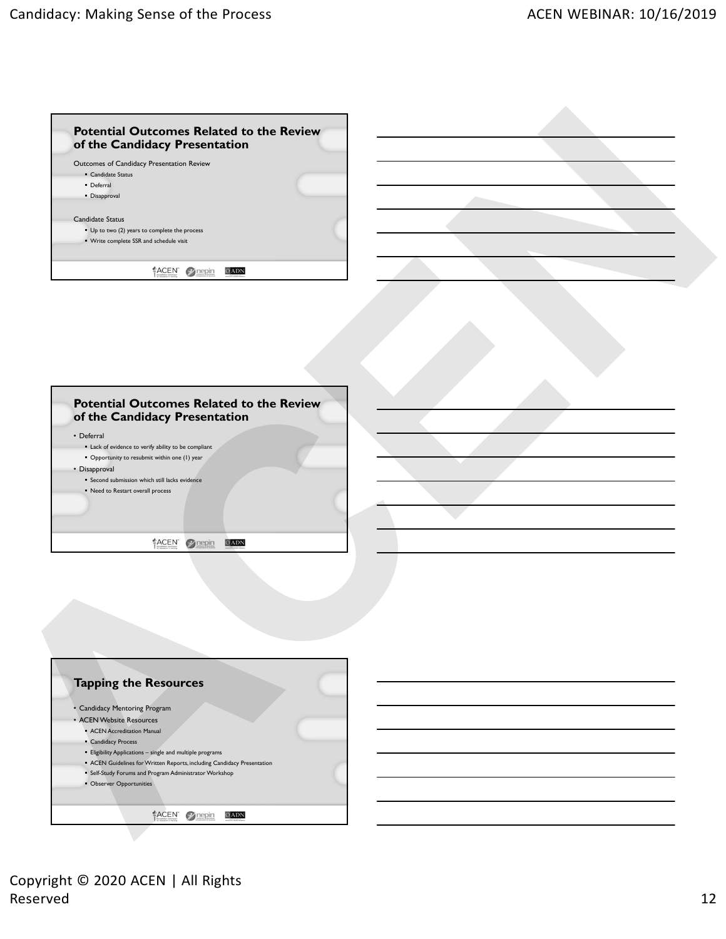| Outcomes of Candidacy Presentation Review |                                                                       |                                                                                          |  |
|-------------------------------------------|-----------------------------------------------------------------------|------------------------------------------------------------------------------------------|--|
|                                           |                                                                       |                                                                                          |  |
|                                           |                                                                       |                                                                                          |  |
|                                           |                                                                       |                                                                                          |  |
|                                           |                                                                       |                                                                                          |  |
|                                           |                                                                       |                                                                                          |  |
|                                           |                                                                       |                                                                                          |  |
|                                           | • Candidate Status<br>• Deferral<br>• Disapproval<br>Candidate Status | • Up to two (2) years to complete the process<br>• Write complete SSR and schedule visit |  |

| • Deferral                                                      |                                                      |  |  |
|-----------------------------------------------------------------|------------------------------------------------------|--|--|
|                                                                 | " Lack of evidence to verify ability to be compliant |  |  |
|                                                                 | • Opportunity to resubmit within one (1) year        |  |  |
| • Disapproval<br>• Second submission which still lacks evidence |                                                      |  |  |
|                                                                 |                                                      |  |  |
| • Need to Restart overall process                               |                                                      |  |  |
|                                                                 |                                                      |  |  |